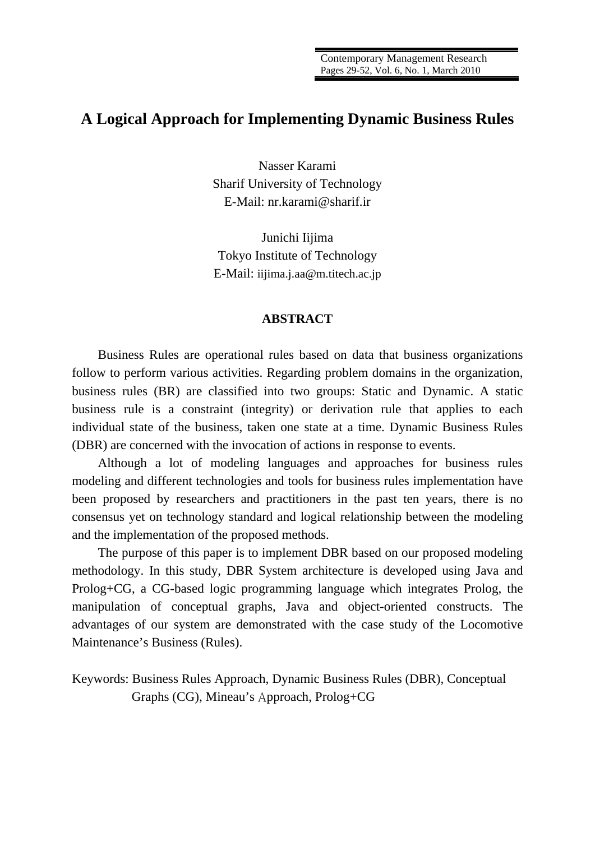# **A Logical Approach for Implementing Dynamic Business Rules**

Nasser Karami Sharif University of Technology E-Mail: nr.karami@sharif.ir

Junichi Iijima Tokyo Institute of Technology E-Mail: iijima.j.aa@m.titech.ac.jp

## **ABSTRACT**

Business Rules are operational rules based on data that business organizations follow to perform various activities. Regarding problem domains in the organization, business rules (BR) are classified into two groups: Static and Dynamic. A static business rule is a constraint (integrity) or derivation rule that applies to each individual state of the business, taken one state at a time. Dynamic Business Rules (DBR) are concerned with the invocation of actions in response to events.

Although a lot of modeling languages and approaches for business rules modeling and different technologies and tools for business rules implementation have been proposed by researchers and practitioners in the past ten years, there is no consensus yet on technology standard and logical relationship between the modeling and the implementation of the proposed methods.

The purpose of this paper is to implement DBR based on our proposed modeling methodology. In this study, DBR System architecture is developed using Java and Prolog+CG, a CG-based logic programming language which integrates Prolog, the manipulation of conceptual graphs, Java and object-oriented constructs. The advantages of our system are demonstrated with the case study of the Locomotive Maintenance's Business (Rules).

Keywords: Business Rules Approach, Dynamic Business Rules (DBR), Conceptual Graphs (CG), Mineau's Approach, Prolog+CG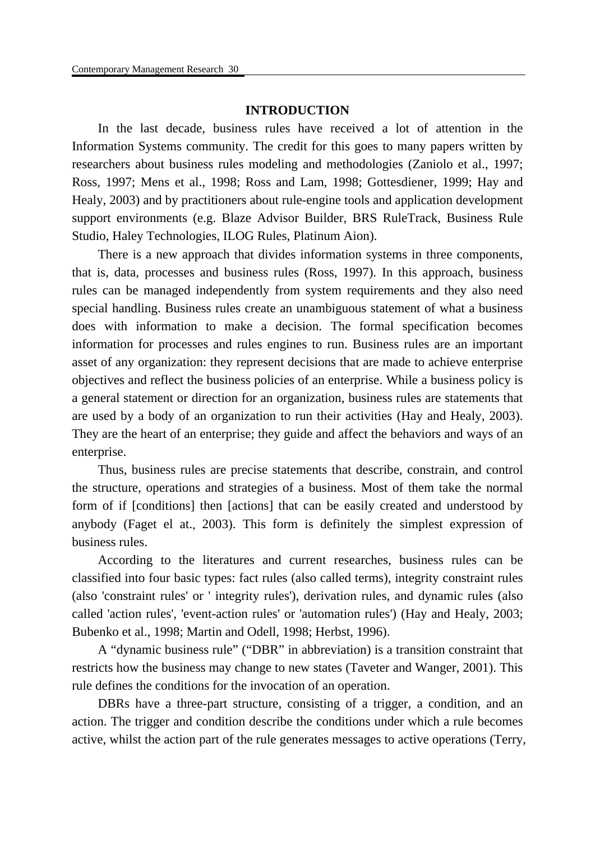# **INTRODUCTION**

In the last decade, business rules have received a lot of attention in the Information Systems community. The credit for this goes to many papers written by researchers about business rules modeling and methodologies (Zaniolo et al., 1997; Ross, 1997; Mens et al., 1998; Ross and Lam, 1998; Gottesdiener, 1999; Hay and Healy, 2003) and by practitioners about rule-engine tools and application development support environments (e.g. Blaze Advisor Builder, BRS RuleTrack, Business Rule Studio, Haley Technologies, ILOG Rules, Platinum Aion).

There is a new approach that divides information systems in three components, that is, data, processes and business rules (Ross, 1997). In this approach, business rules can be managed independently from system requirements and they also need special handling. Business rules create an unambiguous statement of what a business does with information to make a decision. The formal specification becomes information for processes and rules engines to run. Business rules are an important asset of any organization: they represent decisions that are made to achieve enterprise objectives and reflect the business policies of an enterprise. While a business policy is a general statement or direction for an organization, business rules are statements that are used by a body of an organization to run their activities (Hay and Healy, 2003). They are the heart of an enterprise; they guide and affect the behaviors and ways of an enterprise.

Thus, business rules are precise statements that describe, constrain, and control the structure, operations and strategies of a business. Most of them take the normal form of if [conditions] then [actions] that can be easily created and understood by anybody (Faget el at., 2003). This form is definitely the simplest expression of business rules.

According to the literatures and current researches, business rules can be classified into four basic types: fact rules (also called terms), integrity constraint rules (also 'constraint rules' or ' integrity rules'), derivation rules, and dynamic rules (also called 'action rules', 'event-action rules' or 'automation rules') (Hay and Healy, 2003; Bubenko et al., 1998; Martin and Odell, 1998; Herbst, 1996).

A "dynamic business rule" ("DBR" in abbreviation) is a transition constraint that restricts how the business may change to new states (Taveter and Wanger, 2001). This rule defines the conditions for the invocation of an operation.

DBRs have a three-part structure, consisting of a trigger, a condition, and an action. The trigger and condition describe the conditions under which a rule becomes active, whilst the action part of the rule generates messages to active operations (Terry,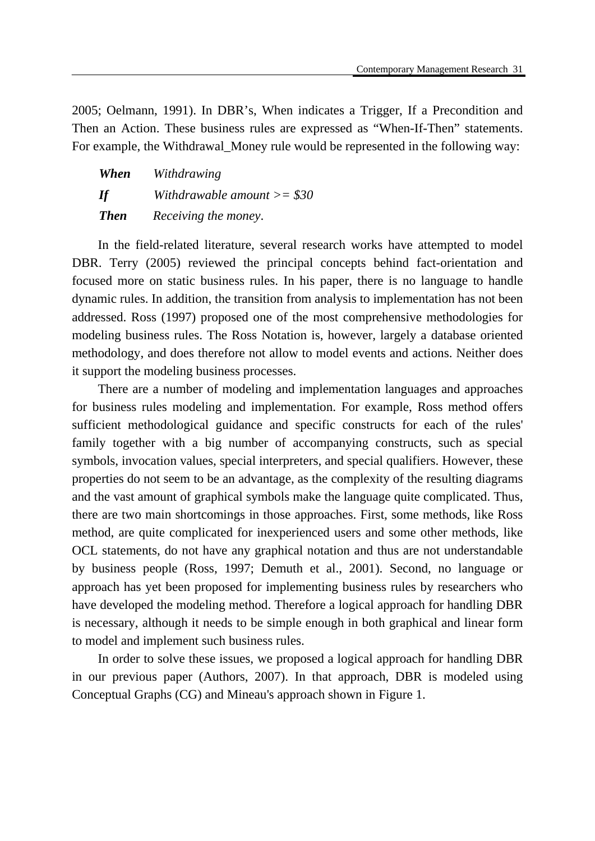2005; Oelmann, 1991). In DBR's, When indicates a Trigger, If a Precondition and Then an Action. These business rules are expressed as "When-If-Then" statements. For example, the Withdrawal\_Money rule would be represented in the following way:

| When        | Withdrawing                      |
|-------------|----------------------------------|
| If          | Withdrawable amount $\ge$ = \$30 |
| <b>Then</b> | Receiving the money.             |

In the field-related literature, several research works have attempted to model DBR. Terry (2005) reviewed the principal concepts behind fact-orientation and focused more on static business rules. In his paper, there is no language to handle dynamic rules. In addition, the transition from analysis to implementation has not been addressed. Ross (1997) proposed one of the most comprehensive methodologies for modeling business rules. The Ross Notation is, however, largely a database oriented methodology, and does therefore not allow to model events and actions. Neither does it support the modeling business processes.

There are a number of modeling and implementation languages and approaches for business rules modeling and implementation. For example, Ross method offers sufficient methodological guidance and specific constructs for each of the rules' family together with a big number of accompanying constructs, such as special symbols, invocation values, special interpreters, and special qualifiers. However, these properties do not seem to be an advantage, as the complexity of the resulting diagrams and the vast amount of graphical symbols make the language quite complicated. Thus, there are two main shortcomings in those approaches. First, some methods, like Ross method, are quite complicated for inexperienced users and some other methods, like OCL statements, do not have any graphical notation and thus are not understandable by business people (Ross, 1997; Demuth et al., 2001). Second, no language or approach has yet been proposed for implementing business rules by researchers who have developed the modeling method. Therefore a logical approach for handling DBR is necessary, although it needs to be simple enough in both graphical and linear form to model and implement such business rules.

In order to solve these issues, we proposed a logical approach for handling DBR in our previous paper (Authors, 2007). In that approach, DBR is modeled using Conceptual Graphs (CG) and Mineau's approach shown in Figure 1.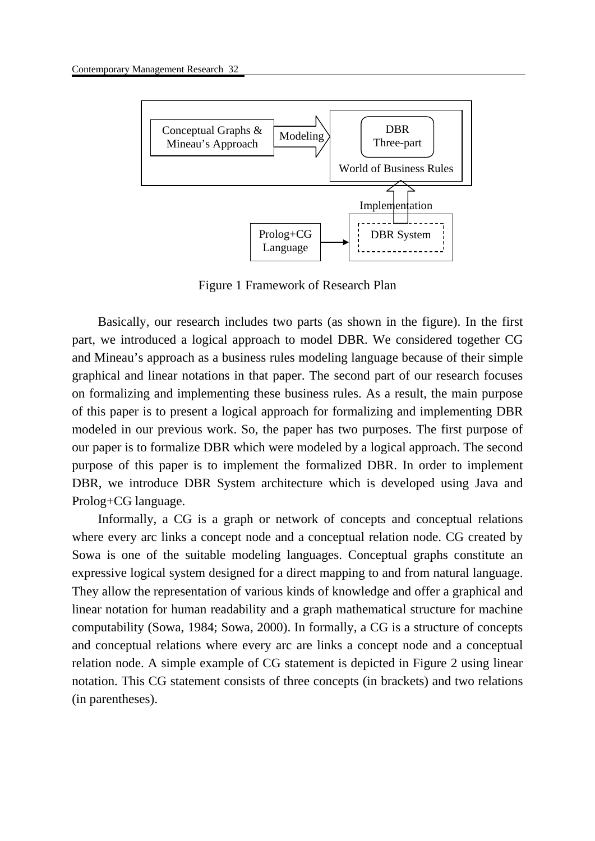

Figure 1 Framework of Research Plan

Basically, our research includes two parts (as shown in the figure). In the first part, we introduced a logical approach to model DBR. We considered together CG and Mineau's approach as a business rules modeling language because of their simple graphical and linear notations in that paper. The second part of our research focuses on formalizing and implementing these business rules. As a result, the main purpose of this paper is to present a logical approach for formalizing and implementing DBR modeled in our previous work. So, the paper has two purposes. The first purpose of our paper is to formalize DBR which were modeled by a logical approach. The second purpose of this paper is to implement the formalized DBR. In order to implement DBR, we introduce DBR System architecture which is developed using Java and Prolog+CG language.

Informally, a CG is a graph or network of concepts and conceptual relations where every arc links a concept node and a conceptual relation node. CG created by Sowa is one of the suitable modeling languages. Conceptual graphs constitute an expressive logical system designed for a direct mapping to and from natural language. They allow the representation of various kinds of knowledge and offer a graphical and linear notation for human readability and a graph mathematical structure for machine computability (Sowa, 1984; Sowa, 2000). In formally, a CG is a structure of concepts and conceptual relations where every arc are links a concept node and a conceptual relation node. A simple example of CG statement is depicted in Figure 2 using linear notation. This CG statement consists of three concepts (in brackets) and two relations (in parentheses).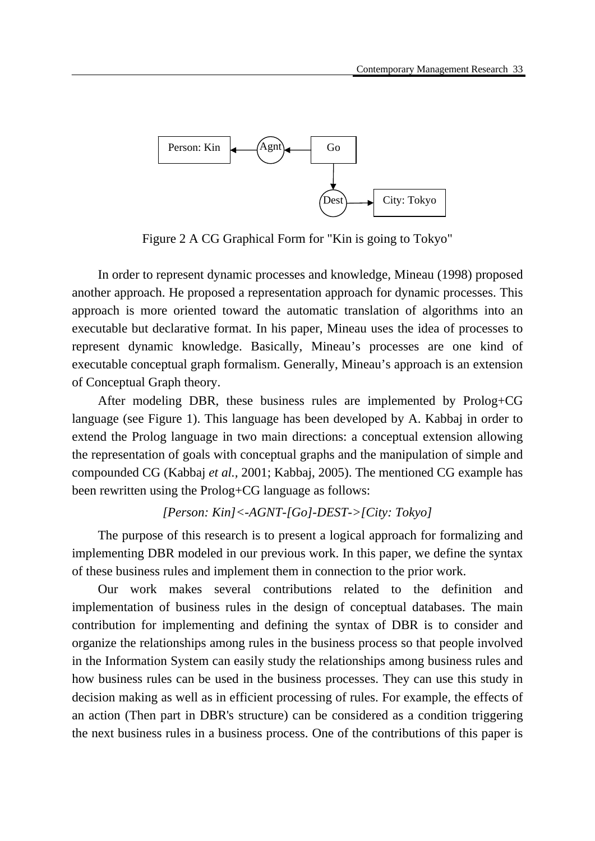

Figure 2 A CG Graphical Form for "Kin is going to Tokyo"

In order to represent dynamic processes and knowledge, Mineau (1998) proposed another approach. He proposed a representation approach for dynamic processes. This approach is more oriented toward the automatic translation of algorithms into an executable but declarative format. In his paper, Mineau uses the idea of processes to represent dynamic knowledge. Basically, Mineau's processes are one kind of executable conceptual graph formalism. Generally, Mineau's approach is an extension of Conceptual Graph theory.

After modeling DBR, these business rules are implemented by Prolog+CG language (see Figure 1). This language has been developed by A. Kabbaj in order to extend the Prolog language in two main directions: a conceptual extension allowing the representation of goals with conceptual graphs and the manipulation of simple and compounded CG (Kabbaj *et al.,* 2001; Kabbaj, 2005). The mentioned CG example has been rewritten using the Prolog+CG language as follows:

# *[Person: Kin]<-AGNT-[Go]-DEST->[City: Tokyo]*

The purpose of this research is to present a logical approach for formalizing and implementing DBR modeled in our previous work. In this paper, we define the syntax of these business rules and implement them in connection to the prior work.

Our work makes several contributions related to the definition and implementation of business rules in the design of conceptual databases. The main contribution for implementing and defining the syntax of DBR is to consider and organize the relationships among rules in the business process so that people involved in the Information System can easily study the relationships among business rules and how business rules can be used in the business processes. They can use this study in decision making as well as in efficient processing of rules. For example, the effects of an action (Then part in DBR's structure) can be considered as a condition triggering the next business rules in a business process. One of the contributions of this paper is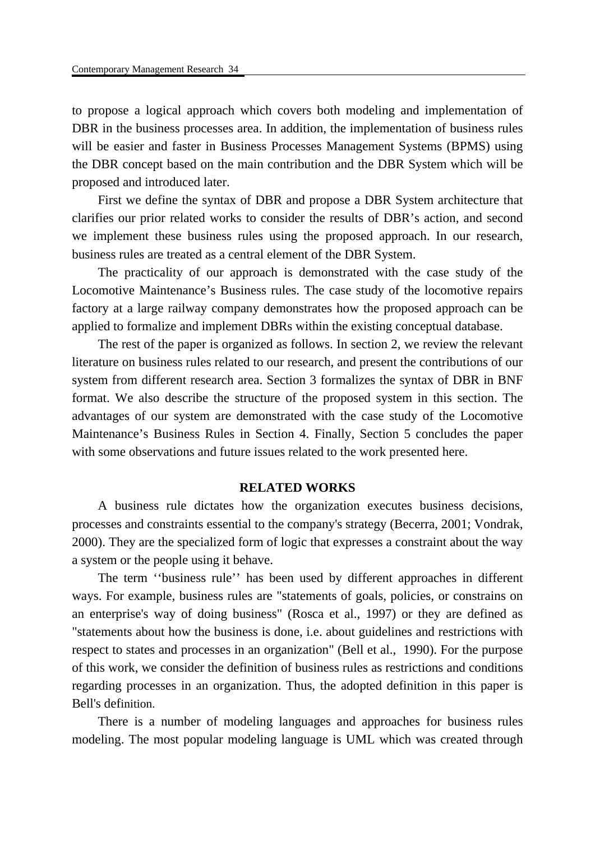to propose a logical approach which covers both modeling and implementation of DBR in the business processes area. In addition, the implementation of business rules will be easier and faster in Business Processes Management Systems (BPMS) using the DBR concept based on the main contribution and the DBR System which will be proposed and introduced later.

First we define the syntax of DBR and propose a DBR System architecture that clarifies our prior related works to consider the results of DBR's action, and second we implement these business rules using the proposed approach. In our research, business rules are treated as a central element of the DBR System.

The practicality of our approach is demonstrated with the case study of the Locomotive Maintenance's Business rules. The case study of the locomotive repairs factory at a large railway company demonstrates how the proposed approach can be applied to formalize and implement DBRs within the existing conceptual database.

The rest of the paper is organized as follows. In section 2, we review the relevant literature on business rules related to our research, and present the contributions of our system from different research area. Section 3 formalizes the syntax of DBR in BNF format. We also describe the structure of the proposed system in this section. The advantages of our system are demonstrated with the case study of the Locomotive Maintenance's Business Rules in Section 4. Finally, Section 5 concludes the paper with some observations and future issues related to the work presented here.

## **RELATED WORKS**

A business rule dictates how the organization executes business decisions, processes and constraints essential to the company's strategy (Becerra, 2001; Vondrak, 2000). They are the specialized form of logic that expresses a constraint about the way a system or the people using it behave.

The term ''business rule'' has been used by different approaches in different ways. For example, business rules are "statements of goals, policies, or constrains on an enterprise's way of doing business" (Rosca et al., 1997) or they are defined as "statements about how the business is done, i.e. about guidelines and restrictions with respect to states and processes in an organization" (Bell et al., 1990). For the purpose of this work, we consider the definition of business rules as restrictions and conditions regarding processes in an organization. Thus, the adopted definition in this paper is Bell's definition.

There is a number of modeling languages and approaches for business rules modeling. The most popular modeling language is UML which was created through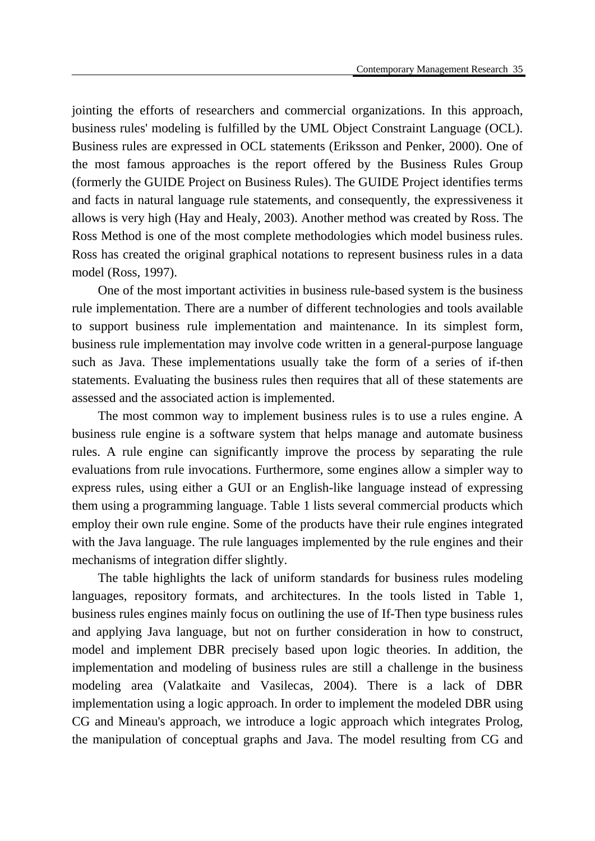jointing the efforts of researchers and commercial organizations. In this approach, business rules' modeling is fulfilled by the UML Object Constraint Language (OCL). Business rules are expressed in OCL statements (Eriksson and Penker, 2000). One of the most famous approaches is the report offered by the Business Rules Group (formerly the GUIDE Project on Business Rules). The GUIDE Project identifies terms and facts in natural language rule statements, and consequently, the expressiveness it allows is very high (Hay and Healy, 2003). Another method was created by Ross. The Ross Method is one of the most complete methodologies which model business rules. Ross has created the original graphical notations to represent business rules in a data model (Ross, 1997).

One of the most important activities in business rule-based system is the business rule implementation. There are a number of different technologies and tools available to support business rule implementation and maintenance. In its simplest form, business rule implementation may involve code written in a general-purpose language such as Java. These implementations usually take the form of a series of if-then statements. Evaluating the business rules then requires that all of these statements are assessed and the associated action is implemented.

The most common way to implement business rules is to use a rules engine. A business rule engine is a software system that helps manage and automate business rules. A rule engine can significantly improve the process by separating the rule evaluations from rule invocations. Furthermore, some engines allow a simpler way to express rules, using either a GUI or an English-like language instead of expressing them using a programming language. Table 1 lists several commercial products which employ their own rule engine. Some of the products have their rule engines integrated with the Java language. The rule languages implemented by the rule engines and their mechanisms of integration differ slightly.

The table highlights the lack of uniform standards for business rules modeling languages, repository formats, and architectures. In the tools listed in Table 1, business rules engines mainly focus on outlining the use of If-Then type business rules and applying Java language, but not on further consideration in how to construct, model and implement DBR precisely based upon logic theories. In addition, the implementation and modeling of business rules are still a challenge in the business modeling area (Valatkaite and Vasilecas, 2004). There is a lack of DBR implementation using a logic approach. In order to implement the modeled DBR using CG and Mineau's approach, we introduce a logic approach which integrates Prolog, the manipulation of conceptual graphs and Java. The model resulting from CG and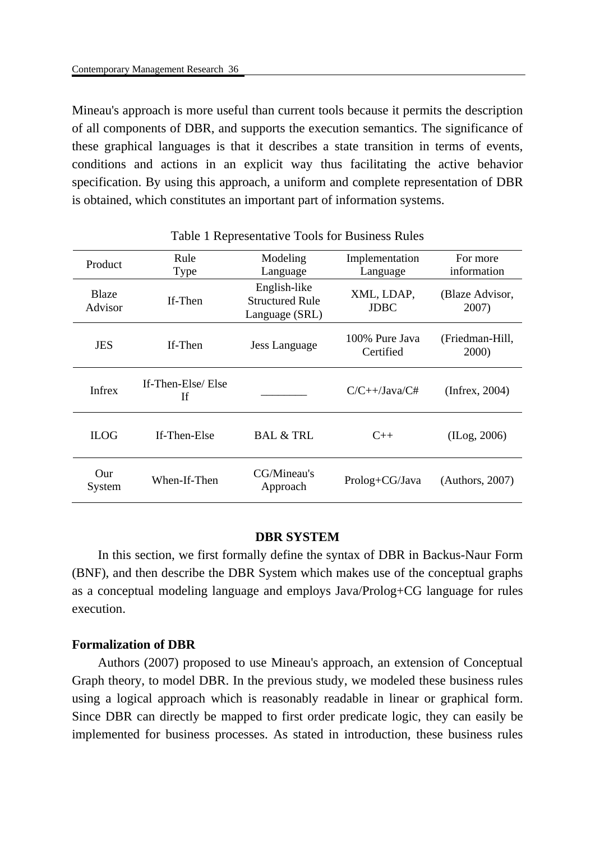Mineau's approach is more useful than current tools because it permits the description of all components of DBR, and supports the execution semantics. The significance of these graphical languages is that it describes a state transition in terms of events, conditions and actions in an explicit way thus facilitating the active behavior specification. By using this approach, a uniform and complete representation of DBR is obtained, which constitutes an important part of information systems.

| Product                 | Rule<br>Type            | Modeling<br>Language                                     | Implementation<br>Language  | For more<br>information  |
|-------------------------|-------------------------|----------------------------------------------------------|-----------------------------|--------------------------|
| <b>Blaze</b><br>Advisor | If-Then                 | English-like<br><b>Structured Rule</b><br>Language (SRL) | XML, LDAP,<br><b>JDBC</b>   | (Blaze Advisor,<br>2007) |
| <b>JES</b>              | If-Then                 | Jess Language                                            | 100% Pure Java<br>Certified | (Friedman-Hill,<br>2000) |
| <b>Infrex</b>           | If-Then-Else/Else<br>If |                                                          | $C/C++/Java/C#$             | (Infrac, 2004)           |
| <b>ILOG</b>             | If-Then-Else            | <b>BAL &amp; TRL</b>                                     | $C++$                       | (II.09, 2006)            |
| $_{\rm Our}$<br>System  | When-If-Then            | CG/Mineau's<br>Approach                                  | Prolog+CG/Java              | (Authors, 2007)          |

#### Table 1 Representative Tools for Business Rules

#### **DBR SYSTEM**

In this section, we first formally define the syntax of DBR in Backus-Naur Form (BNF), and then describe the DBR System which makes use of the conceptual graphs as a conceptual modeling language and employs Java/Prolog+CG language for rules execution.

## **Formalization of DBR**

Authors (2007) proposed to use Mineau's approach, an extension of Conceptual Graph theory, to model DBR. In the previous study, we modeled these business rules using a logical approach which is reasonably readable in linear or graphical form. Since DBR can directly be mapped to first order predicate logic, they can easily be implemented for business processes. As stated in introduction, these business rules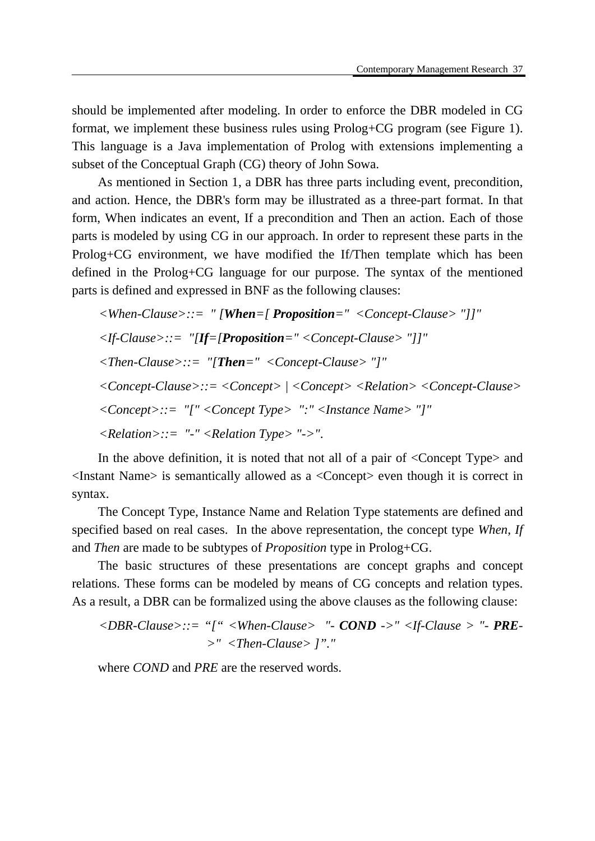should be implemented after modeling. In order to enforce the DBR modeled in CG format, we implement these business rules using Prolog+CG program (see Figure 1). This language is a Java implementation of Prolog with extensions implementing a subset of the Conceptual Graph (CG) theory of John Sowa.

As mentioned in Section 1, a DBR has three parts including event, precondition, and action. Hence, the DBR's form may be illustrated as a three-part format. In that form, When indicates an event, If a precondition and Then an action. Each of those parts is modeled by using CG in our approach. In order to represent these parts in the Prolog+CG environment, we have modified the If/Then template which has been defined in the Prolog+CG language for our purpose. The syntax of the mentioned parts is defined and expressed in BNF as the following clauses:

*<When-Clause>::= " [When=[ Proposition=" <Concept-Clause> "]]" <If-Clause>::= "[If=[Proposition=" <Concept-Clause> "]]" <Then-Clause>::= "[Then=" <Concept-Clause> "]" <Concept-Clause>::= <Concept> | <Concept> <Relation> <Concept-Clause> <Concept>::= "[" <Concept Type> ":" <Instance Name> "]" <Relation>::= "-" <Relation Type> "->"*.

In the above definition, it is noted that not all of a pair of <Concept Type> and <Instant Name> is semantically allowed as a <Concept> even though it is correct in syntax.

The Concept Type, Instance Name and Relation Type statements are defined and specified based on real cases. In the above representation, the concept type *When*, *If*  and *Then* are made to be subtypes of *Proposition* type in Prolog+CG.

The basic structures of these presentations are concept graphs and concept relations. These forms can be modeled by means of CG concepts and relation types. As a result, a DBR can be formalized using the above clauses as the following clause:

$$
\langle DBR\text{-}Clause \rangle ::= \text{``}[' \text{``} \langle When\text{-}Clause \rangle \text{''} \cdot \text{COMP} \cdot \text{''} \langle \text{!} f\text{-}Clause \rangle \text{''} \cdot \text{PRE}
$$
  
> \text{''} \langle Then\text{-}Clause \rangle \text{''''}

where *COND* and *PRE* are the reserved words.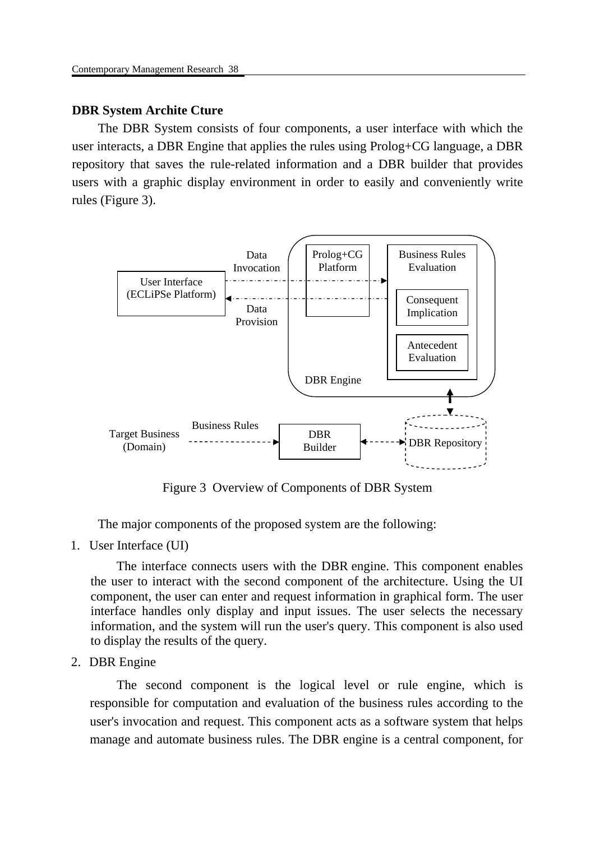# **DBR System Archite Cture**

The DBR System consists of four components, a user interface with which the user interacts, a DBR Engine that applies the rules using Prolog+CG language, a DBR repository that saves the rule-related information and a DBR builder that provides users with a graphic display environment in order to easily and conveniently write rules (Figure 3).



Figure 3 Overview of Components of DBR System

The major components of the proposed system are the following:

1. User Interface (UI)

The interface connects users with the DBR engine. This component enables the user to interact with the second component of the architecture. Using the UI component, the user can enter and request information in graphical form. The user interface handles only display and input issues. The user selects the necessary information, and the system will run the user's query. This component is also used to display the results of the query.

2. DBR Engine

The second component is the logical level or rule engine, which is responsible for computation and evaluation of the business rules according to the user's invocation and request. This component acts as a software system that helps manage and automate business rules. The DBR engine is a central component, for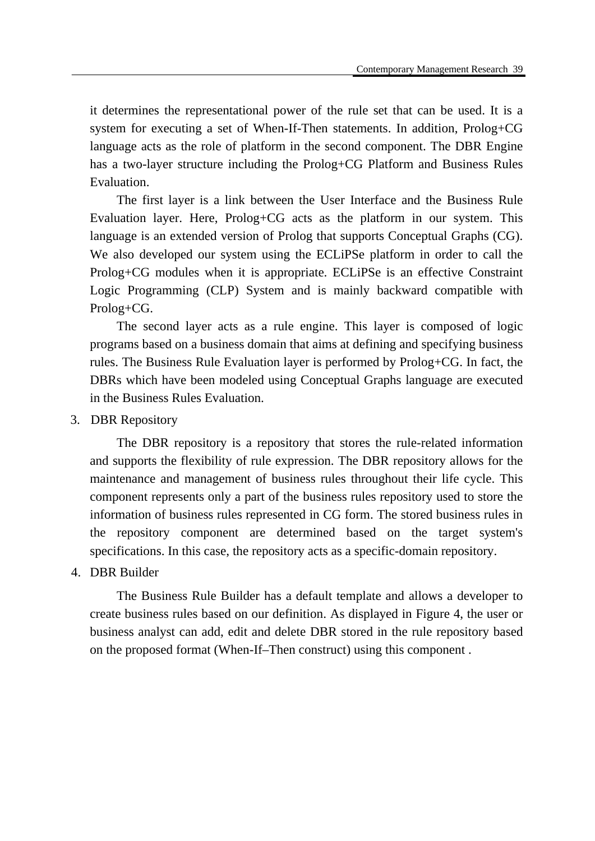it determines the representational power of the rule set that can be used. It is a system for executing a set of When-If-Then statements. In addition, Prolog+CG language acts as the role of platform in the second component. The DBR Engine has a two-layer structure including the Prolog+CG Platform and Business Rules Evaluation.

The first layer is a link between the User Interface and the Business Rule Evaluation layer. Here, Prolog+CG acts as the platform in our system. This language is an extended version of Prolog that supports Conceptual Graphs (CG). We also developed our system using the ECLiPSe platform in order to call the Prolog+CG modules when it is appropriate. ECLiPSe is an effective Constraint Logic Programming (CLP) System and is mainly backward compatible with Prolog+CG.

The second layer acts as a rule engine. This layer is composed of logic programs based on a business domain that aims at defining and specifying business rules. The Business Rule Evaluation layer is performed by Prolog+CG. In fact, the DBRs which have been modeled using Conceptual Graphs language are executed in the Business Rules Evaluation.

## 3. DBR Repository

The DBR repository is a repository that stores the rule-related information and supports the flexibility of rule expression. The DBR repository allows for the maintenance and management of business rules throughout their life cycle. This component represents only a part of the business rules repository used to store the information of business rules represented in CG form. The stored business rules in the repository component are determined based on the target system's specifications. In this case, the repository acts as a specific-domain repository.

## 4. DBR Builder

The Business Rule Builder has a default template and allows a developer to create business rules based on our definition. As displayed in Figure 4, the user or business analyst can add, edit and delete DBR stored in the rule repository based on the proposed format (When-If–Then construct) using this component .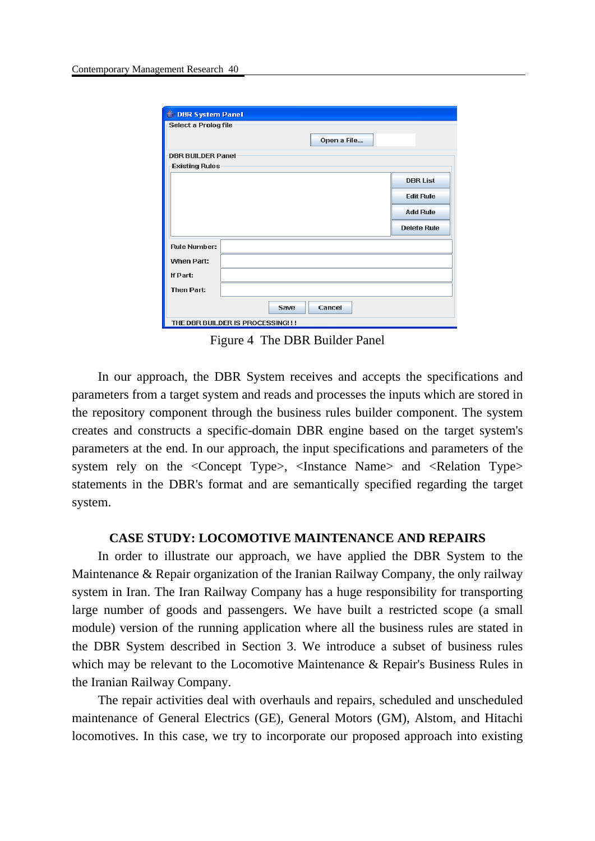| DBR System Panel                  |                    |  |
|-----------------------------------|--------------------|--|
| Select a Prolog file              |                    |  |
|                                   |                    |  |
|                                   | Open a File        |  |
| <b>DBR BUILDER Panel</b>          |                    |  |
| <b>Existing Rules</b>             |                    |  |
|                                   | <b>DBR List</b>    |  |
|                                   |                    |  |
|                                   | <b>Edit Rule</b>   |  |
|                                   | <b>Add Rule</b>    |  |
|                                   |                    |  |
|                                   | <b>Delete Rule</b> |  |
|                                   |                    |  |
| <b>Rule Number:</b>               |                    |  |
| When Part:                        |                    |  |
| If Part:                          |                    |  |
|                                   |                    |  |
| <b>Then Part:</b>                 |                    |  |
|                                   |                    |  |
| Save                              | Cancel             |  |
| THE DBR BUILDER IS PROCESSING! !! |                    |  |

Figure 4 The DBR Builder Panel

In our approach, the DBR System receives and accepts the specifications and parameters from a target system and reads and processes the inputs which are stored in the repository component through the business rules builder component. The system creates and constructs a specific-domain DBR engine based on the target system's parameters at the end. In our approach, the input specifications and parameters of the system rely on the <Concept Type>, <Instance Name> and <Relation Type> statements in the DBR's format and are semantically specified regarding the target system.

#### **CASE STUDY: LOCOMOTIVE MAINTENANCE AND REPAIRS**

In order to illustrate our approach, we have applied the DBR System to the Maintenance & Repair organization of the Iranian Railway Company, the only railway system in Iran. The Iran Railway Company has a huge responsibility for transporting large number of goods and passengers. We have built a restricted scope (a small module) version of the running application where all the business rules are stated in the DBR System described in Section 3. We introduce a subset of business rules which may be relevant to the Locomotive Maintenance & Repair's Business Rules in the Iranian Railway Company.

The repair activities deal with overhauls and repairs, scheduled and unscheduled maintenance of General Electrics (GE), General Motors (GM), Alstom, and Hitachi locomotives. In this case, we try to incorporate our proposed approach into existing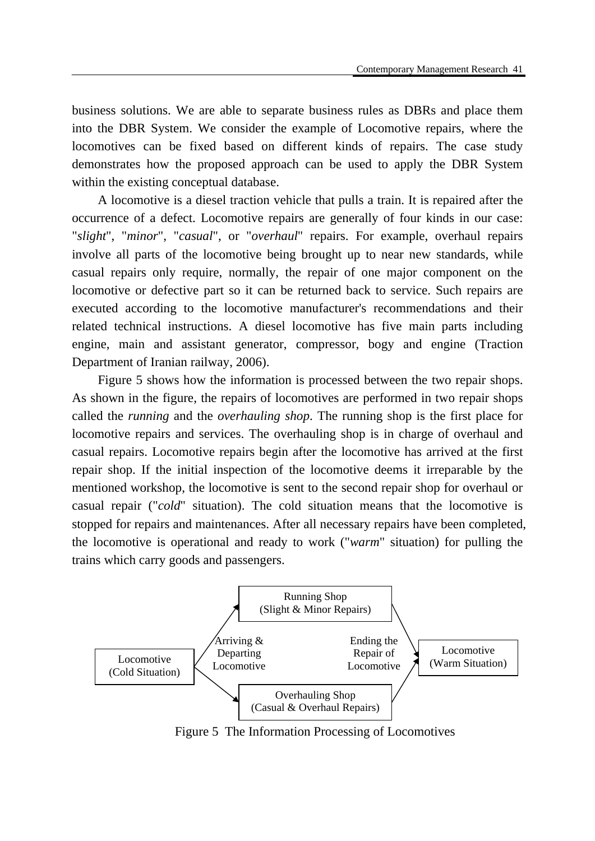business solutions. We are able to separate business rules as DBRs and place them into the DBR System. We consider the example of Locomotive repairs, where the locomotives can be fixed based on different kinds of repairs. The case study demonstrates how the proposed approach can be used to apply the DBR System within the existing conceptual database.

A locomotive is a diesel traction vehicle that pulls a train. It is repaired after the occurrence of a defect. Locomotive repairs are generally of four kinds in our case: "*slight*", "*minor*", "*casual*", or "*overhaul*" repairs. For example, overhaul repairs involve all parts of the locomotive being brought up to near new standards, while casual repairs only require, normally, the repair of one major component on the locomotive or defective part so it can be returned back to service. Such repairs are executed according to the locomotive manufacturer's recommendations and their related technical instructions. A diesel locomotive has five main parts including engine, main and assistant generator, compressor, bogy and engine (Traction Department of Iranian railway, 2006).

Figure 5 shows how the information is processed between the two repair shops. As shown in the figure, the repairs of locomotives are performed in two repair shops called the *running* and the *overhauling shop*. The running shop is the first place for locomotive repairs and services. The overhauling shop is in charge of overhaul and casual repairs. Locomotive repairs begin after the locomotive has arrived at the first repair shop. If the initial inspection of the locomotive deems it irreparable by the mentioned workshop, the locomotive is sent to the second repair shop for overhaul or casual repair ("*cold*" situation). The cold situation means that the locomotive is stopped for repairs and maintenances. After all necessary repairs have been completed, the locomotive is operational and ready to work ("*warm*" situation) for pulling the trains which carry goods and passengers.



Figure 5 The Information Processing of Locomotives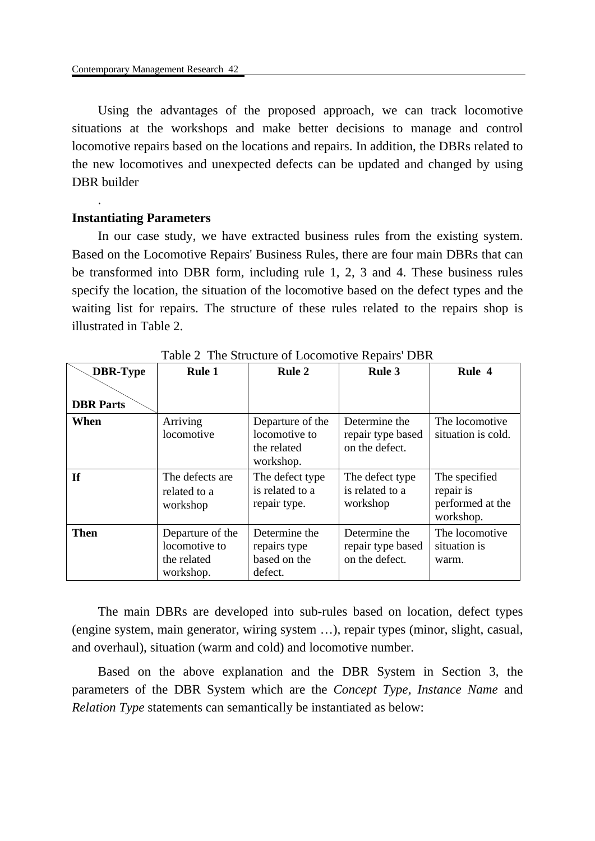Using the advantages of the proposed approach, we can track locomotive situations at the workshops and make better decisions to manage and control locomotive repairs based on the locations and repairs. In addition, the DBRs related to the new locomotives and unexpected defects can be updated and changed by using DBR builder

#### **Instantiating Parameters**

.

In our case study, we have extracted business rules from the existing system. Based on the Locomotive Repairs' Business Rules, there are four main DBRs that can be transformed into DBR form, including rule 1, 2, 3 and 4. These business rules specify the location, the situation of the locomotive based on the defect types and the waiting list for repairs. The structure of these rules related to the repairs shop is illustrated in Table 2.

| <b>DBR-Type</b>  | <b>Rule 1</b>                                                 | <b>Rule 2</b>                                                 | Rule 3                                               | Rule 4                                                      |
|------------------|---------------------------------------------------------------|---------------------------------------------------------------|------------------------------------------------------|-------------------------------------------------------------|
| <b>DBR</b> Parts |                                                               |                                                               |                                                      |                                                             |
| When             | Arriving<br>locomotive                                        | Departure of the<br>locomotive to<br>the related<br>workshop. | Determine the<br>repair type based<br>on the defect. | The locomotive<br>situation is cold.                        |
| <b>If</b>        | The defects are<br>related to a<br>workshop                   | The defect type<br>is related to a<br>repair type.            | The defect type<br>is related to a<br>workshop       | The specified<br>repair is<br>performed at the<br>workshop. |
| <b>Then</b>      | Departure of the<br>locomotive to<br>the related<br>workshop. | Determine the<br>repairs type<br>based on the<br>defect.      | Determine the<br>repair type based<br>on the defect. | The locomotive<br>situation is<br>warm.                     |

Table 2 The Structure of Locomotive Repairs' DBR

The main DBRs are developed into sub-rules based on location, defect types (engine system, main generator, wiring system …), repair types (minor, slight, casual, and overhaul), situation (warm and cold) and locomotive number.

Based on the above explanation and the DBR System in Section 3, the parameters of the DBR System which are the *Concept Type, Instance Name* and *Relation Type* statements can semantically be instantiated as below: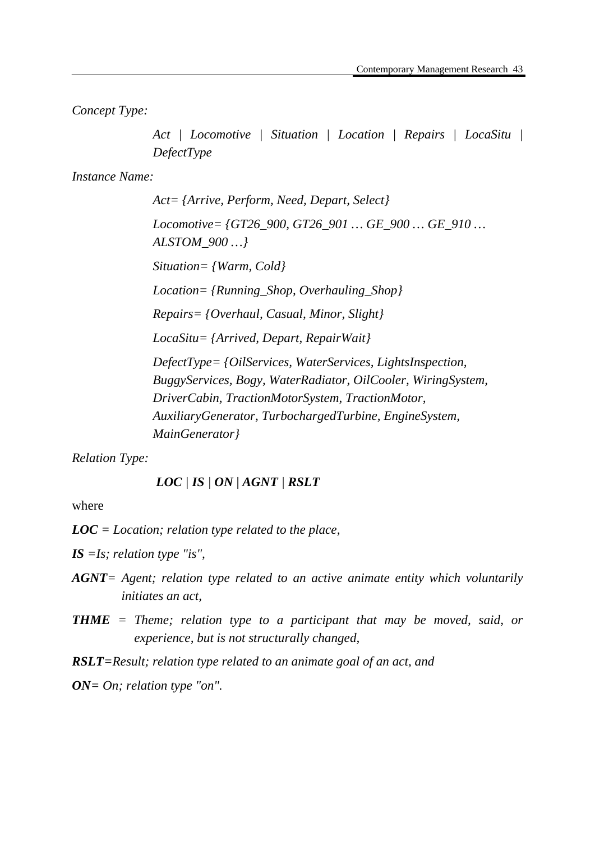*Concept Type:* 

*Act | Locomotive | Situation | Location | Repairs | LocaSitu | DefectType* 

*Instance Name:* 

*Act= {Arrive, Perform, Need, Depart, Select} Locomotive= {GT26\_900, GT26\_901 … GE\_900 … GE\_910 … ALSTOM\_900 …} Situation= {Warm, Cold} Location= {Running\_Shop, Overhauling\_Shop} Repairs= {Overhaul, Casual, Minor, Slight} LocaSitu= {Arrived, Depart, RepairWait} DefectType= {OilServices, WaterServices, LightsInspection, BuggyServices, Bogy, WaterRadiator, OilCooler, WiringSystem, DriverCabin, TractionMotorSystem, TractionMotor, AuxiliaryGenerator, TurbochargedTurbine, EngineSystem, MainGenerator}* 

*Relation Type:* 

*LOC | IS | ON | AGNT | RSLT*

where

*LOC = Location; relation type related to the place,* 

*IS =Is; relation type "is",* 

- *AGNT= Agent; relation type related to an active animate entity which voluntarily initiates an act,*
- *THME = Theme; relation type to a participant that may be moved, said, or experience, but is not structurally changed,*

*RSLT=Result; relation type related to an animate goal of an act, and* 

*ON= On; relation type "on".*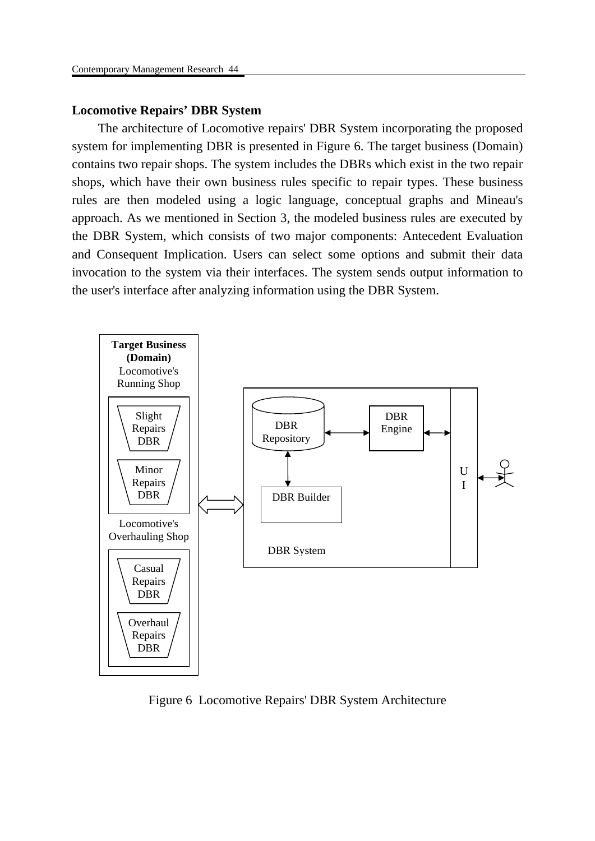# **Locomotive Repairs' DBR System**

The architecture of Locomotive repairs' DBR System incorporating the proposed system for implementing DBR is presented in Figure 6. The target business (Domain) contains two repair shops. The system includes the DBRs which exist in the two repair shops, which have their own business rules specific to repair types. These business rules are then modeled using a logic language, conceptual graphs and Mineau's approach. As we mentioned in Section 3, the modeled business rules are executed by the DBR System, which consists of two major components: Antecedent Evaluation and Consequent Implication. Users can select some options and submit their data invocation to the system via their interfaces. The system sends output information to the user's interface after analyzing information using the DBR System.



Figure 6 Locomotive Repairs' DBR System Architecture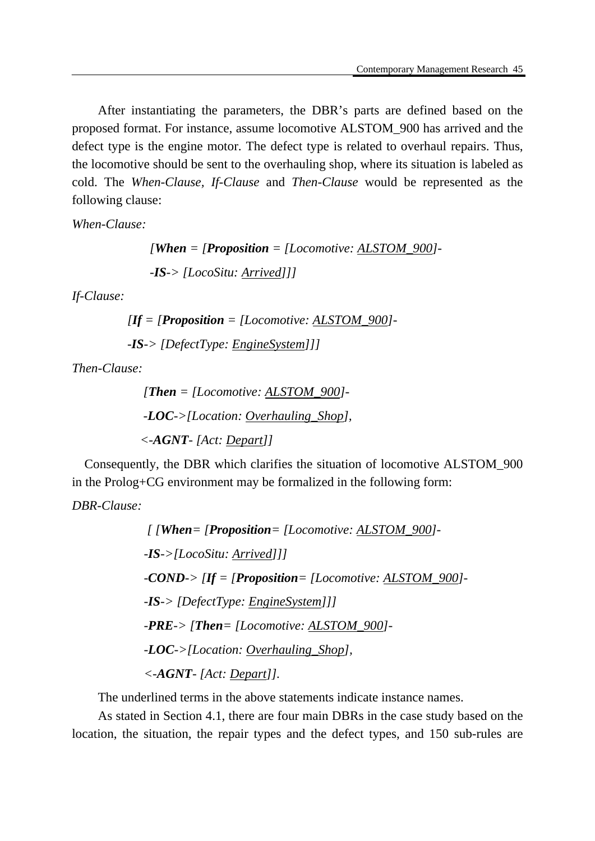After instantiating the parameters, the DBR's parts are defined based on the proposed format. For instance, assume locomotive ALSTOM\_900 has arrived and the defect type is the engine motor. The defect type is related to overhaul repairs. Thus, the locomotive should be sent to the overhauling shop, where its situation is labeled as cold. The *When-Clause, If-Clause* and *Then-Clause* would be represented as the following clause:

*When-Clause:* 

 *[When = [Proposition = [Locomotive: ALSTOM\_900]- -IS-> [LocoSitu: Arrived]]]* 

*If-Clause:* 

 $\boldsymbol{Hf} = \boldsymbol{P}$ **Proposition** = [Locomotive: ALSTOM\_900]  *-IS-> [DefectType: EngineSystem]]]* 

*Then-Clause:* 

 *[Then = [Locomotive: ALSTOM\_900]- -LOC->[Location: Overhauling\_Shop], <-AGNT- [Act: Depart]]* 

 Consequently, the DBR which clarifies the situation of locomotive ALSTOM\_900 in the Prolog+CG environment may be formalized in the following form:

*DBR-Clause:* 

```
 [ [When= [Proposition= [Locomotive: ALSTOM_900]- 
-IS->[LocoSitu: Arrived]]] 
-COND-> [If = [Proposition= [Locomotive: ALSTOM_900]- 
-IS-> [DefectType: EngineSystem]]] 
-PRE-> [Then= [Locomotive: ALSTOM_900]- 
-LOC->[Location: Overhauling_Shop], 
<-AGNT- [Act: Depart]].
```
The underlined terms in the above statements indicate instance names.

As stated in Section 4.1, there are four main DBRs in the case study based on the location, the situation, the repair types and the defect types, and 150 sub-rules are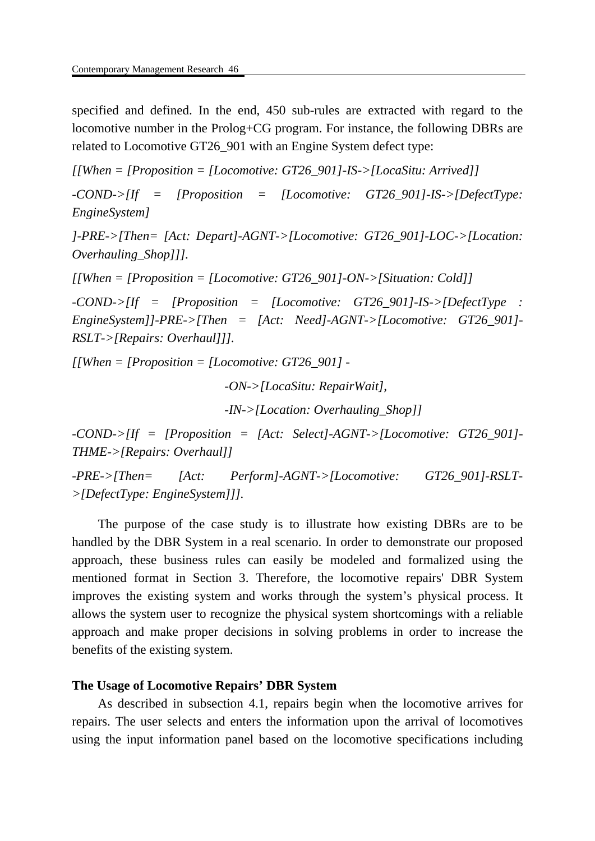specified and defined. In the end, 450 sub-rules are extracted with regard to the locomotive number in the Prolog+CG program. For instance, the following DBRs are related to Locomotive GT26\_901 with an Engine System defect type:

*[[When = [Proposition = [Locomotive: GT26\_901]-IS->[LocaSitu: Arrived]]* 

*-COND->[If = [Proposition = [Locomotive: GT26\_901]-IS->[DefectType: EngineSystem]* 

*]-PRE->[Then= [Act: Depart]-AGNT->[Locomotive: GT26\_901]-LOC->[Location: Overhauling\_Shop]]].*

*[[When = [Proposition = [Locomotive: GT26\_901]-ON->[Situation: Cold]]* 

*-COND->[If = [Proposition = [Locomotive: GT26\_901]-IS->[DefectType : EngineSystem]]-PRE->[Then = [Act: Need]-AGNT->[Locomotive: GT26\_901]- RSLT->[Repairs: Overhaul]]].* 

*[[When = [Proposition = [Locomotive: GT26\_901] -*

 *-ON->[LocaSitu: RepairWait],*

 *-IN->[Location: Overhauling\_Shop]]* 

*-COND->[If = [Proposition = [Act: Select]-AGNT->[Locomotive: GT26\_901]- THME->[Repairs: Overhaul]]* 

*-PRE->[Then= [Act: Perform]-AGNT->[Locomotive: GT26\_901]-RSLT- >[DefectType: EngineSystem]]].* 

The purpose of the case study is to illustrate how existing DBRs are to be handled by the DBR System in a real scenario. In order to demonstrate our proposed approach, these business rules can easily be modeled and formalized using the mentioned format in Section 3. Therefore, the locomotive repairs' DBR System improves the existing system and works through the system's physical process. It allows the system user to recognize the physical system shortcomings with a reliable approach and make proper decisions in solving problems in order to increase the benefits of the existing system.

## **The Usage of Locomotive Repairs' DBR System**

As described in subsection 4.1, repairs begin when the locomotive arrives for repairs. The user selects and enters the information upon the arrival of locomotives using the input information panel based on the locomotive specifications including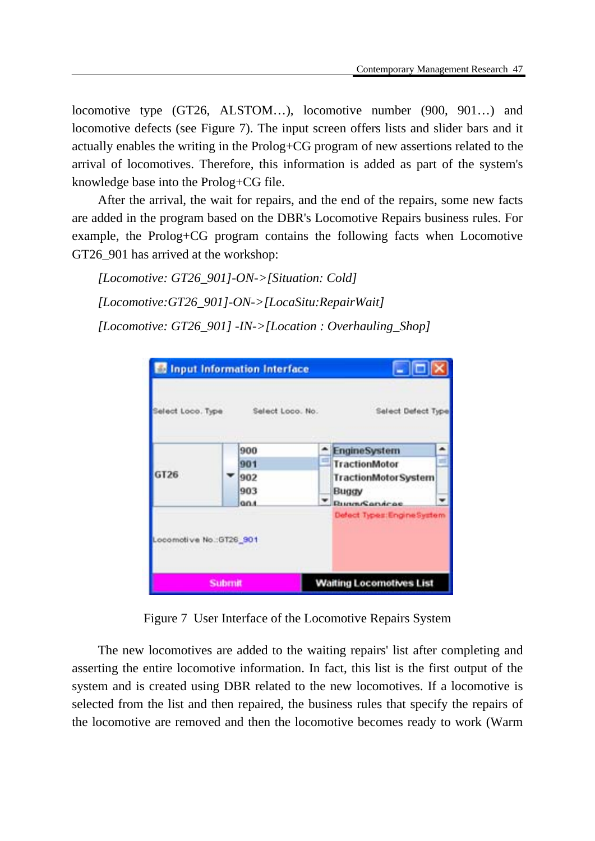locomotive type (GT26, ALSTOM…), locomotive number (900, 901…) and locomotive defects (see Figure 7). The input screen offers lists and slider bars and it actually enables the writing in the Prolog+CG program of new assertions related to the arrival of locomotives. Therefore, this information is added as part of the system's knowledge base into the Prolog+CG file.

After the arrival, the wait for repairs, and the end of the repairs, some new facts are added in the program based on the DBR's Locomotive Repairs business rules. For example, the Prolog+CG program contains the following facts when Locomotive GT26\_901 has arrived at the workshop:

*[Locomotive: GT26\_901]-ON->[Situation: Cold] [Locomotive:GT26\_901]-ON->[LocaSitu:RepairWait] [Locomotive: GT26\_901] -IN->[Location : Overhauling\_Shop]* 

| GT26 | 900         | and i | EngineSystem                                       |
|------|-------------|-------|----------------------------------------------------|
|      | 901         |       | TractionMotor                                      |
|      | 902         |       | <b>TractionMotorSystem</b>                         |
|      | 903         |       | Buggy                                              |
|      | <b>GOLD</b> |       | <b>BungsSandcas</b><br>Defect Types: Engine System |

Figure 7 User Interface of the Locomotive Repairs System

The new locomotives are added to the waiting repairs' list after completing and asserting the entire locomotive information. In fact, this list is the first output of the system and is created using DBR related to the new locomotives. If a locomotive is selected from the list and then repaired, the business rules that specify the repairs of the locomotive are removed and then the locomotive becomes ready to work (Warm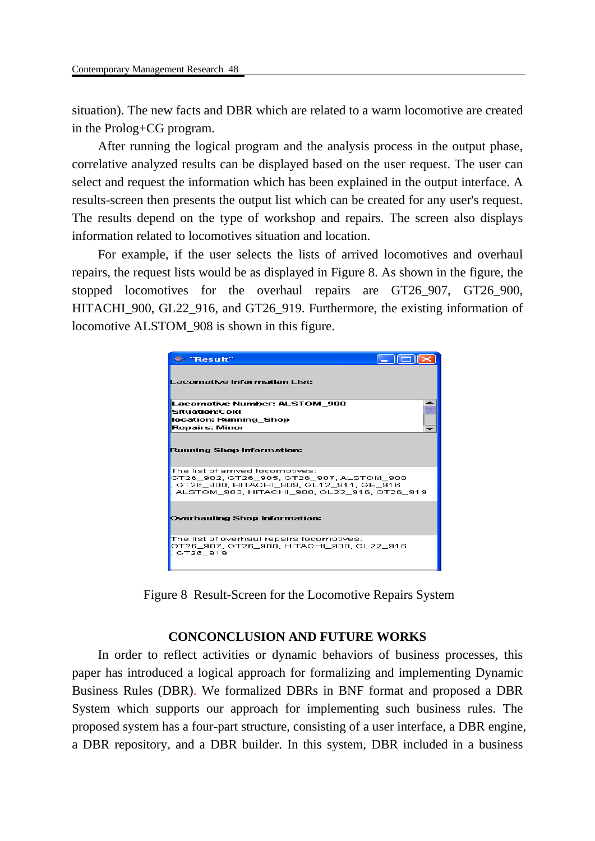situation). The new facts and DBR which are related to a warm locomotive are created in the Prolog+CG program.

After running the logical program and the analysis process in the output phase, correlative analyzed results can be displayed based on the user request. The user can select and request the information which has been explained in the output interface. A results-screen then presents the output list which can be created for any user's request. The results depend on the type of workshop and repairs. The screen also displays information related to locomotives situation and location.

For example, if the user selects the lists of arrived locomotives and overhaul repairs, the request lists would be as displayed in Figure 8. As shown in the figure, the stopped locomotives for the overhaul repairs are GT26 907, GT26 900, HITACHI\_900, GL22\_916, and GT26\_919. Furthermore, the existing information of locomotive ALSTOM\_908 is shown in this figure.



Figure 8 Result-Screen for the Locomotive Repairs System

# **CONCONCLUSION AND FUTURE WORKS**

In order to reflect activities or dynamic behaviors of business processes, this paper has introduced a logical approach for formalizing and implementing Dynamic Business Rules (DBR). We formalized DBRs in BNF format and proposed a DBR System which supports our approach for implementing such business rules. The proposed system has a four-part structure, consisting of a user interface, a DBR engine, a DBR repository, and a DBR builder. In this system, DBR included in a business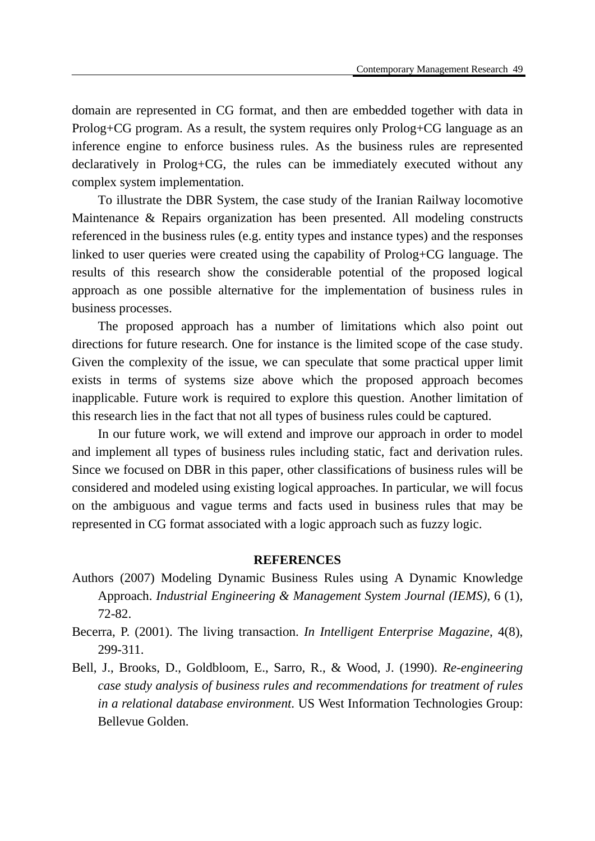domain are represented in CG format, and then are embedded together with data in Prolog+CG program. As a result, the system requires only Prolog+CG language as an inference engine to enforce business rules. As the business rules are represented declaratively in Prolog+CG, the rules can be immediately executed without any complex system implementation.

To illustrate the DBR System, the case study of the Iranian Railway locomotive Maintenance & Repairs organization has been presented. All modeling constructs referenced in the business rules (e.g. entity types and instance types) and the responses linked to user queries were created using the capability of Prolog+CG language. The results of this research show the considerable potential of the proposed logical approach as one possible alternative for the implementation of business rules in business processes.

The proposed approach has a number of limitations which also point out directions for future research. One for instance is the limited scope of the case study. Given the complexity of the issue, we can speculate that some practical upper limit exists in terms of systems size above which the proposed approach becomes inapplicable. Future work is required to explore this question. Another limitation of this research lies in the fact that not all types of business rules could be captured.

In our future work, we will extend and improve our approach in order to model and implement all types of business rules including static, fact and derivation rules. Since we focused on DBR in this paper, other classifications of business rules will be considered and modeled using existing logical approaches. In particular, we will focus on the ambiguous and vague terms and facts used in business rules that may be represented in CG format associated with a logic approach such as fuzzy logic.

#### **REFERENCES**

- Authors (2007) Modeling Dynamic Business Rules using A Dynamic Knowledge Approach. *Industrial Engineering & Management System Journal (IEMS)*, 6 (1), 72-82.
- Becerra, P. (2001). The living transaction. *In Intelligent Enterprise Magazine*, 4(8), 299-311.
- Bell, J., Brooks, D., Goldbloom, E., Sarro, R., & Wood, J. (1990). *Re-engineering case study analysis of business rules and recommendations for treatment of rules in a relational database environment*. US West Information Technologies Group: Bellevue Golden.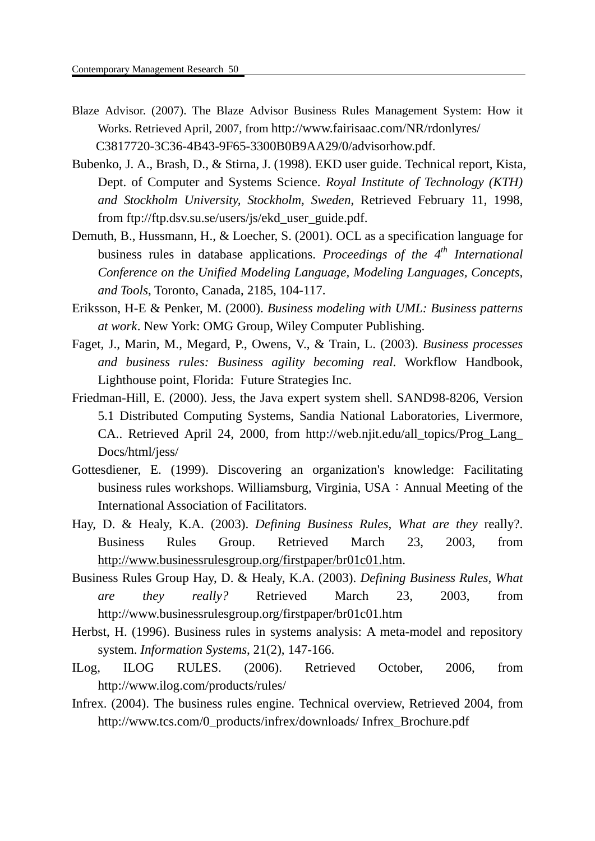- Blaze Advisor. (2007). The Blaze Advisor Business Rules Management System: How it Works. Retrieved April, 2007, from http://www.fairisaac.com/NR/rdonlyres/ C3817720-3C36-4B43-9F65-3300B0B9AA29/0/advisorhow.pdf.
- Bubenko, J. A., Brash, D., & Stirna, J. (1998). EKD user guide. Technical report, Kista, Dept. of Computer and Systems Science. *Royal Institute of Technology (KTH) and Stockholm University, Stockholm, Sweden*, Retrieved February 11, 1998, from ftp://ftp.dsv.su.se/users/js/ekd\_user\_guide.pdf.
- Demuth, B., Hussmann, H., & Loecher, S. (2001). OCL as a specification language for business rules in database applications. *Proceedings of the 4th International Conference on the Unified Modeling Language, Modeling Languages, Concepts, and Tools*, Toronto, Canada, 2185, 104-117.
- Eriksson, H-E & Penker, M. (2000). *Business modeling with UML: Business patterns at work*. New York: OMG Group, Wiley Computer Publishing.
- Faget, J., Marin, M., Megard, P., Owens, V., & Train, L. (2003). *Business processes and business rules: Business agility becoming real*. Workflow Handbook, Lighthouse point, Florida: Future Strategies Inc.
- Friedman-Hill, E. (2000). Jess, the Java expert system shell. SAND98-8206, Version 5.1 Distributed Computing Systems, Sandia National Laboratories, Livermore, CA.. Retrieved April 24, 2000, from http://web.njit.edu/all\_topics/Prog\_Lang\_ Docs/html/jess/
- Gottesdiener, E. (1999). Discovering an organization's knowledge: Facilitating business rules workshops. Williamsburg, Virginia, USA: Annual Meeting of the International Association of Facilitators.
- Hay, D. & Healy, K.A. (2003). *Defining Business Rules, What are they* really?. Business Rules Group. Retrieved March 23, 2003, from http://www.businessrulesgroup.org/firstpaper/br01c01.htm.
- Business Rules Group Hay, D. & Healy, K.A. (2003). *Defining Business Rules, What are they really?* Retrieved March 23, 2003, from http://www.businessrulesgroup.org/firstpaper/br01c01.htm
- Herbst, H. (1996). Business rules in systems analysis: A meta-model and repository system. *Information Systems*, 21(2), 147-166.
- ILog, ILOG RULES. (2006). Retrieved October, 2006, from http://www.ilog.com/products/rules/
- Infrex. (2004). The business rules engine. Technical overview, Retrieved 2004, from http://www.tcs.com/0\_products/infrex/downloads/ Infrex\_Brochure.pdf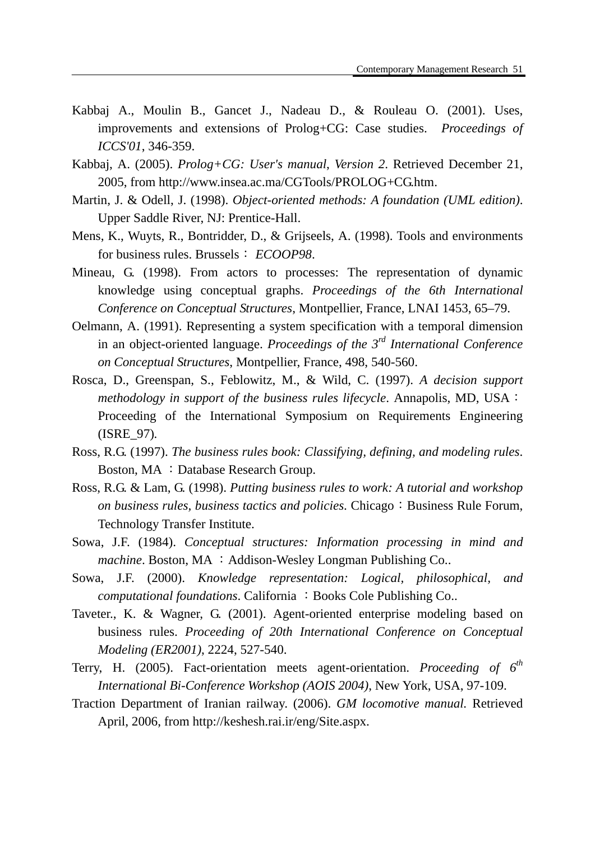- Kabbaj A., Moulin B., Gancet J., Nadeau D., & Rouleau O. (2001). Uses, improvements and extensions of Prolog+CG: Case studies. *Proceedings of ICCS'01*, 346-359.
- Kabbaj, A. (2005). *Prolog+CG: User's manual*, *Version 2*. Retrieved December 21, 2005, from http://www.insea.ac.ma/CGTools/PROLOG+CG.htm.
- Martin, J. & Odell, J. (1998). *Object-oriented methods: A foundation (UML edition)*. Upper Saddle River, NJ: Prentice-Hall.
- Mens, K., Wuyts, R., Bontridder, D., & Grijseels, A. (1998). Tools and environments for business rules. Brussels: *ECOOP98*.
- Mineau, G. (1998). From actors to processes: The representation of dynamic knowledge using conceptual graphs. *Proceedings of the 6th International Conference on Conceptual Structures*, Montpellier, France, LNAI 1453, 65–79.
- Oelmann, A. (1991). Representing a system specification with a temporal dimension in an object-oriented language. *Proceedings of the 3rd International Conference on Conceptual Structures*, Montpellier, France, 498, 540-560.
- Rosca, D., Greenspan, S., Feblowitz, M., & Wild, C. (1997). *A decision support methodology in support of the business rules lifecycle*. Annapolis, MD, USA: Proceeding of the International Symposium on Requirements Engineering (ISRE\_97)*.*
- Ross, R.G. (1997). *The business rules book: Classifying, defining, and modeling rules*. Boston, MA : Database Research Group.
- Ross, R.G. & Lam, G. (1998). *Putting business rules to work: A tutorial and workshop on business rules, business tactics and policies.* Chicago: Business Rule Forum, Technology Transfer Institute.
- Sowa, J.F. (1984). *Conceptual structures: Information processing in mind and machine*. Boston, MA : Addison-Wesley Longman Publishing Co..
- Sowa, J.F. (2000). *Knowledge representation: Logical, philosophical, and computational foundations.* California : Books Cole Publishing Co..
- Taveter., K. & Wagner, G. (2001). Agent-oriented enterprise modeling based on business rules. *Proceeding of 20th International Conference on Conceptual Modeling (ER2001)*, 2224, 527-540.
- Terry, H. (2005). Fact-orientation meets agent-orientation. *Proceeding of 6th International Bi-Conference Workshop (AOIS 2004)*, New York, USA, 97-109.
- Traction Department of Iranian railway. (2006). *GM locomotive manual.* Retrieved April, 2006, from http://keshesh.rai.ir/eng/Site.aspx.